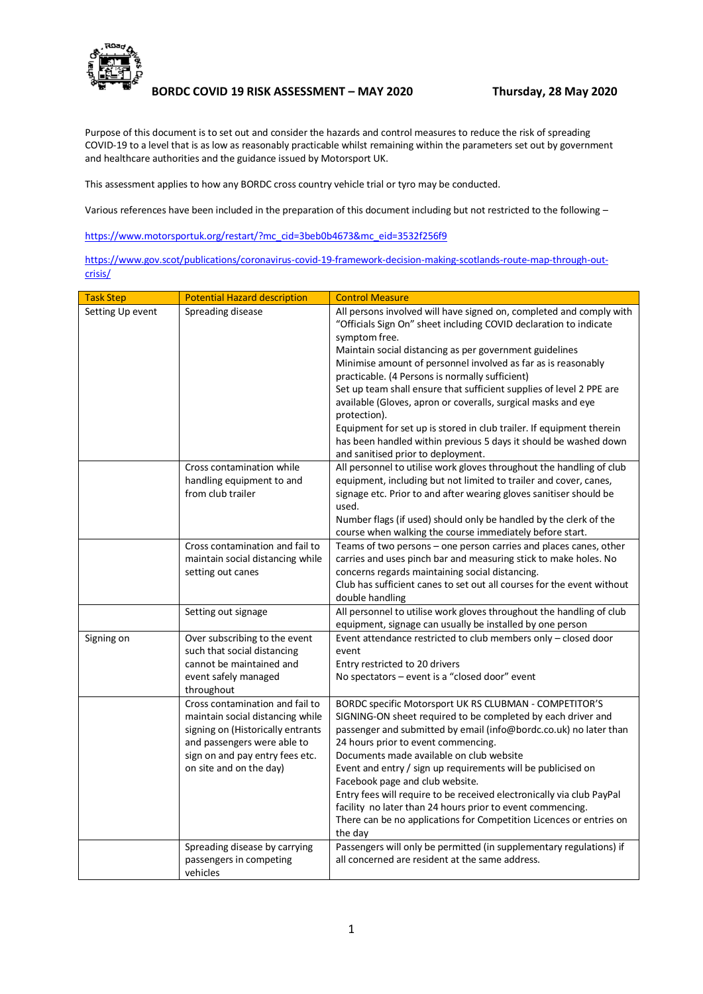

**BORDC COVID 19 RISK ASSESSMENT – MAY 2020 Thursday, 28 May 2020**

Purpose of this document is to set out and consider the hazards and control measures to reduce the risk of spreading COVID-19 to a level that is as low as reasonably practicable whilst remaining within the parameters set out by government and healthcare authorities and the guidance issued by Motorsport UK.

This assessment applies to how any BORDC cross country vehicle trial or tyro may be conducted.

Various references have been included in the preparation of this document including but not restricted to the following –

[https://www.motorsportuk.org/restart/?mc\\_cid=3beb0b4673&mc\\_eid=3532f256f9](https://www.motorsportuk.org/restart/?mc_cid=3beb0b4673&mc_eid=3532f256f9)

[https://www.gov.scot/publications/coronavirus-covid-19-framework-decision-making-scotlands-route-map-through-out](https://www.gov.scot/publications/coronavirus-covid-19-framework-decision-making-scotlands-route-map-through-out-crisis/)[crisis/](https://www.gov.scot/publications/coronavirus-covid-19-framework-decision-making-scotlands-route-map-through-out-crisis/)

| <b>Task Step</b> | <b>Potential Hazard description</b>                                                                                                                                                                   | <b>Control Measure</b>                                                                                                                                                                                                                                                                                                                                                                                                                                                                                                                                                                                                                                                              |
|------------------|-------------------------------------------------------------------------------------------------------------------------------------------------------------------------------------------------------|-------------------------------------------------------------------------------------------------------------------------------------------------------------------------------------------------------------------------------------------------------------------------------------------------------------------------------------------------------------------------------------------------------------------------------------------------------------------------------------------------------------------------------------------------------------------------------------------------------------------------------------------------------------------------------------|
| Setting Up event | Spreading disease                                                                                                                                                                                     | All persons involved will have signed on, completed and comply with<br>"Officials Sign On" sheet including COVID declaration to indicate<br>symptom free.<br>Maintain social distancing as per government guidelines<br>Minimise amount of personnel involved as far as is reasonably<br>practicable. (4 Persons is normally sufficient)<br>Set up team shall ensure that sufficient supplies of level 2 PPE are<br>available (Gloves, apron or coveralls, surgical masks and eye<br>protection).<br>Equipment for set up is stored in club trailer. If equipment therein<br>has been handled within previous 5 days it should be washed down<br>and sanitised prior to deployment. |
|                  | Cross contamination while<br>handling equipment to and<br>from club trailer                                                                                                                           | All personnel to utilise work gloves throughout the handling of club<br>equipment, including but not limited to trailer and cover, canes,<br>signage etc. Prior to and after wearing gloves sanitiser should be<br>used.<br>Number flags (if used) should only be handled by the clerk of the<br>course when walking the course immediately before start.                                                                                                                                                                                                                                                                                                                           |
|                  | Cross contamination and fail to<br>maintain social distancing while<br>setting out canes                                                                                                              | Teams of two persons - one person carries and places canes, other<br>carries and uses pinch bar and measuring stick to make holes. No<br>concerns regards maintaining social distancing.<br>Club has sufficient canes to set out all courses for the event without<br>double handling                                                                                                                                                                                                                                                                                                                                                                                               |
|                  | Setting out signage                                                                                                                                                                                   | All personnel to utilise work gloves throughout the handling of club<br>equipment, signage can usually be installed by one person                                                                                                                                                                                                                                                                                                                                                                                                                                                                                                                                                   |
| Signing on       | Over subscribing to the event<br>such that social distancing<br>cannot be maintained and<br>event safely managed<br>throughout                                                                        | Event attendance restricted to club members only - closed door<br>event<br>Entry restricted to 20 drivers<br>No spectators - event is a "closed door" event                                                                                                                                                                                                                                                                                                                                                                                                                                                                                                                         |
|                  | Cross contamination and fail to<br>maintain social distancing while<br>signing on (Historically entrants<br>and passengers were able to<br>sign on and pay entry fees etc.<br>on site and on the day) | BORDC specific Motorsport UK RS CLUBMAN - COMPETITOR'S<br>SIGNING-ON sheet required to be completed by each driver and<br>passenger and submitted by email (info@bordc.co.uk) no later than<br>24 hours prior to event commencing.<br>Documents made available on club website<br>Event and entry / sign up requirements will be publicised on<br>Facebook page and club website.<br>Entry fees will require to be received electronically via club PayPal<br>facility no later than 24 hours prior to event commencing.<br>There can be no applications for Competition Licences or entries on<br>the day                                                                          |
|                  | Spreading disease by carrying<br>passengers in competing<br>vehicles                                                                                                                                  | Passengers will only be permitted (in supplementary regulations) if<br>all concerned are resident at the same address.                                                                                                                                                                                                                                                                                                                                                                                                                                                                                                                                                              |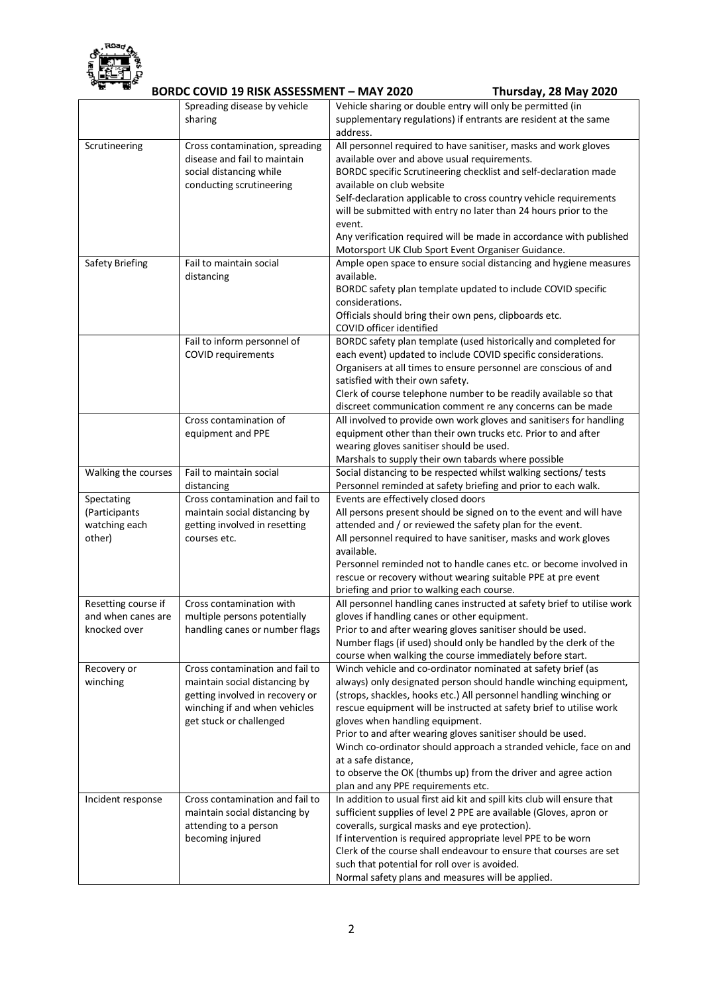

## **BORDC COVID 19 RISK ASSESSMENT – MAY 2020 Thursday, 28 May 2020**

|                         | DUNDL LUVID 19 NISN ASSESSIVIENT – IVIAT 2020                  | Thursuay, Zo May ZUZU                                                                                                    |
|-------------------------|----------------------------------------------------------------|--------------------------------------------------------------------------------------------------------------------------|
|                         | Spreading disease by vehicle                                   | Vehicle sharing or double entry will only be permitted (in                                                               |
|                         | sharing                                                        | supplementary regulations) if entrants are resident at the same<br>address.                                              |
| Scrutineering           | Cross contamination, spreading<br>disease and fail to maintain | All personnel required to have sanitiser, masks and work gloves<br>available over and above usual requirements.          |
|                         | social distancing while                                        | BORDC specific Scrutineering checklist and self-declaration made                                                         |
|                         | conducting scrutineering                                       | available on club website                                                                                                |
|                         |                                                                | Self-declaration applicable to cross country vehicle requirements                                                        |
|                         |                                                                | will be submitted with entry no later than 24 hours prior to the<br>event.                                               |
|                         |                                                                | Any verification required will be made in accordance with published                                                      |
|                         |                                                                | Motorsport UK Club Sport Event Organiser Guidance.                                                                       |
| Safety Briefing         | Fail to maintain social                                        | Ample open space to ensure social distancing and hygiene measures                                                        |
|                         | distancing                                                     | available.                                                                                                               |
|                         |                                                                | BORDC safety plan template updated to include COVID specific                                                             |
|                         |                                                                | considerations.                                                                                                          |
|                         |                                                                | Officials should bring their own pens, clipboards etc.                                                                   |
|                         | Fail to inform personnel of                                    | COVID officer identified<br>BORDC safety plan template (used historically and completed for                              |
|                         | COVID requirements                                             | each event) updated to include COVID specific considerations.                                                            |
|                         |                                                                | Organisers at all times to ensure personnel are conscious of and                                                         |
|                         |                                                                | satisfied with their own safety.                                                                                         |
|                         |                                                                | Clerk of course telephone number to be readily available so that                                                         |
|                         |                                                                | discreet communication comment re any concerns can be made                                                               |
|                         | Cross contamination of                                         | All involved to provide own work gloves and sanitisers for handling                                                      |
|                         | equipment and PPE                                              | equipment other than their own trucks etc. Prior to and after                                                            |
|                         |                                                                | wearing gloves sanitiser should be used.                                                                                 |
|                         |                                                                | Marshals to supply their own tabards where possible                                                                      |
| Walking the courses     | Fail to maintain social                                        | Social distancing to be respected whilst walking sections/ tests                                                         |
| Spectating              | distancing<br>Cross contamination and fail to                  | Personnel reminded at safety briefing and prior to each walk.<br>Events are effectively closed doors                     |
| (Participants           | maintain social distancing by                                  | All persons present should be signed on to the event and will have                                                       |
| watching each           | getting involved in resetting                                  | attended and / or reviewed the safety plan for the event.                                                                |
| other)                  | courses etc.                                                   | All personnel required to have sanitiser, masks and work gloves<br>available.                                            |
|                         |                                                                | Personnel reminded not to handle canes etc. or become involved in                                                        |
|                         |                                                                | rescue or recovery without wearing suitable PPE at pre event                                                             |
|                         |                                                                | briefing and prior to walking each course.                                                                               |
| Resetting course if     | Cross contamination with                                       | All personnel handling canes instructed at safety brief to utilise work                                                  |
| and when canes are      | multiple persons potentially                                   | gloves if handling canes or other equipment.                                                                             |
| knocked over            | handling canes or number flags                                 | Prior to and after wearing gloves sanitiser should be used.                                                              |
|                         |                                                                | Number flags (if used) should only be handled by the clerk of the                                                        |
|                         | Cross contamination and fail to                                | course when walking the course immediately before start.<br>Winch vehicle and co-ordinator nominated at safety brief (as |
| Recovery or<br>winching | maintain social distancing by                                  | always) only designated person should handle winching equipment,                                                         |
|                         | getting involved in recovery or                                | (strops, shackles, hooks etc.) All personnel handling winching or                                                        |
|                         | winching if and when vehicles                                  | rescue equipment will be instructed at safety brief to utilise work                                                      |
|                         | get stuck or challenged                                        | gloves when handling equipment.                                                                                          |
|                         |                                                                | Prior to and after wearing gloves sanitiser should be used.                                                              |
|                         |                                                                | Winch co-ordinator should approach a stranded vehicle, face on and                                                       |
|                         |                                                                | at a safe distance,                                                                                                      |
|                         |                                                                | to observe the OK (thumbs up) from the driver and agree action                                                           |
|                         | Cross contamination and fail to                                | plan and any PPE requirements etc.<br>In addition to usual first aid kit and spill kits club will ensure that            |
| Incident response       | maintain social distancing by                                  | sufficient supplies of level 2 PPE are available (Gloves, apron or                                                       |
|                         | attending to a person                                          | coveralls, surgical masks and eye protection).                                                                           |
|                         | becoming injured                                               | If intervention is required appropriate level PPE to be worn                                                             |
|                         |                                                                | Clerk of the course shall endeavour to ensure that courses are set                                                       |
|                         |                                                                | such that potential for roll over is avoided.                                                                            |
|                         |                                                                | Normal safety plans and measures will be applied.                                                                        |